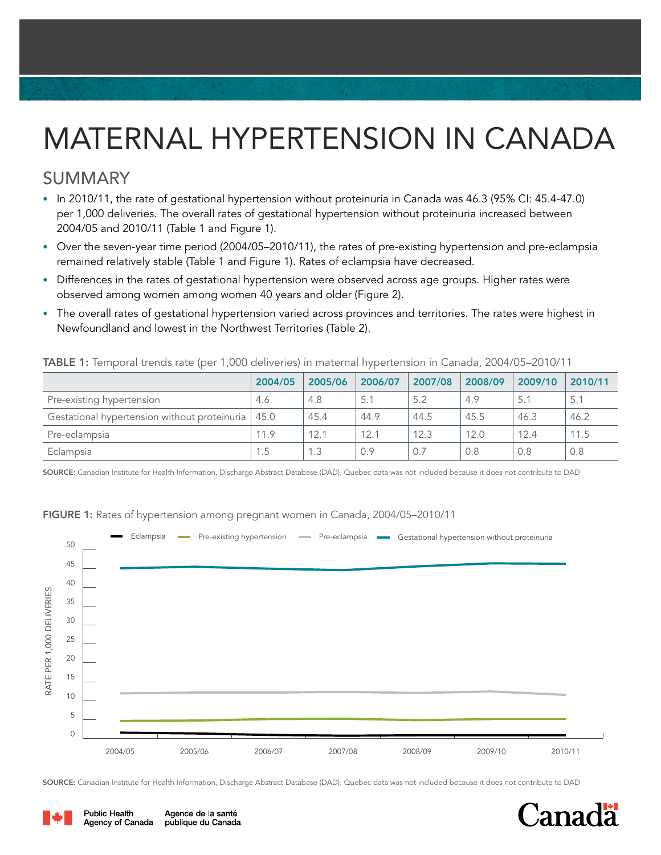# MATERNAL HYPERTENSION IN CANADA

## SUMMARY

- In 2010/11, the rate of gestational hypertension without proteinuria in Canada was 46.3 (95% CI: 45.4-47.0) per 1,000 deliveries. The overall rates of gestational hypertension without proteinuria increased between 2004/05 and 2010/11 (Table 1 and Figure 1).
- Over the seven-year time period (2004/05–2010/11), the rates of pre-existing hypertension and pre-eclampsia remained relatively stable (Table 1 and Figure 1). Rates of eclampsia have decreased.
- Differences in the rates of gestational hypertension were observed across age groups. Higher rates were observed among women among women 40 years and older (Figure 2).
- The overall rates of gestational hypertension varied across provinces and territories. The rates were highest in Newfoundland and lowest in the Northwest Territories (Table 2).

#### TABLE 1: Temporal trends rate (per 1,000 deliveries) in maternal hypertension in Canada, 2004/05–2010/11

|                                              | 2004/05 | 2005/06 | 2006/07 | 2007/08 | 2008/09 | 2009/10 | 2010/11 |
|----------------------------------------------|---------|---------|---------|---------|---------|---------|---------|
| Pre-existing hypertension                    | 4.6     | 4.8     | 5.1     | 5.2     | 4.9     | 5.1     | 5.1     |
| Gestational hypertension without proteinuria | 45.0    | 45.4    | 44.9    | 44.5    | 45.5    | 46.3    | 46.2    |
| Pre-eclampsia                                | 11.9    | 12.1    | 12.1    | 12.3    | 12.0    | 12.4    | 11.5    |
| Eclampsia                                    | 1.5     | 1.3     | 0.9     | 0.7     | 0.8     | 0.8     | 0.8     |

SOURCE: Canadian Institute for Health Information, Discharge Abstract Database (DAD). Quebec data was not included because it does not contribute to DAD

### Eclampsia **-** Pre-existing hypertension Pre-eclampsia - Gestational hypertension without proteinuria 50 45 40 RATE PER 1,000 DELIVERIES RATE PER 1,000 DELIVERIES 35 30 25 20 15 10 5  $\Omega$ 2004/05 2005/06 2006/07 2007/08 2008/09 2009/10 2010/11

FIGURE 1: Rates of hypertension among pregnant women in Canada, 2004/05–2010/11

SOURCE: Canadian Institute for Health Information, Discharge Abstract Database (DAD). Quebec data was not included because it does not contribute to DAD



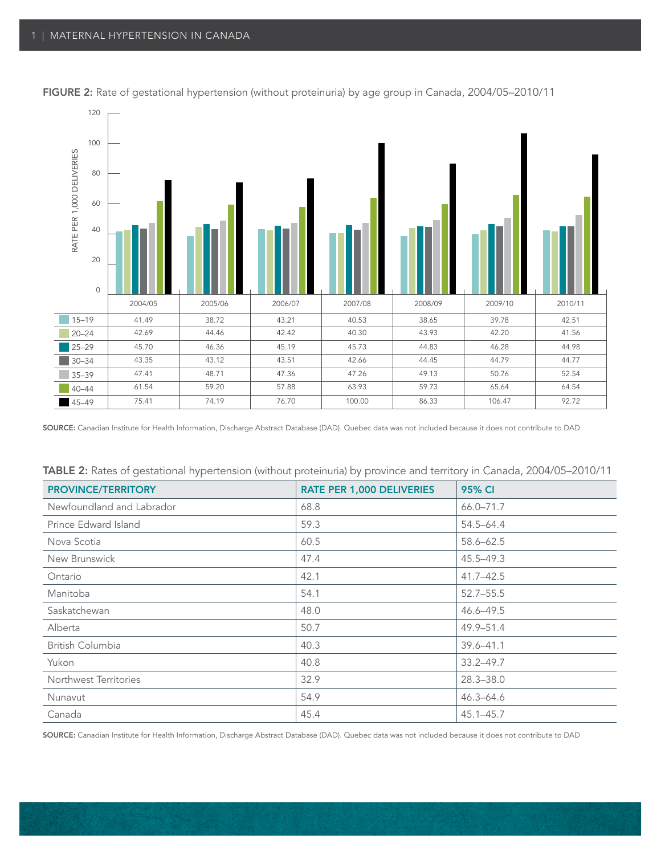

FIGURE 2: Rate of gestational hypertension (without proteinuria) by age group in Canada, 2004/05-2010/11

SOURCE: Canadian Institute for Health Information, Discharge Abstract Database (DAD). Quebec data was not included because it does not contribute to DAD

| <b>IADLE 2.</b> Nates of gestational hyperterision (without proteinuna) by province and territory in Canada, 2004/00–2010/11 |                                  |               |  |  |  |  |  |
|------------------------------------------------------------------------------------------------------------------------------|----------------------------------|---------------|--|--|--|--|--|
| <b>PROVINCE/TERRITORY</b>                                                                                                    | <b>RATE PER 1,000 DELIVERIES</b> | <b>95% CI</b> |  |  |  |  |  |
| Newfoundland and Labrador                                                                                                    | 68.8                             | 66.0-71.7     |  |  |  |  |  |
| Prince Edward Island                                                                                                         | 59.3                             | 54.5–64.4     |  |  |  |  |  |
| Nova Scotia                                                                                                                  | 60.5                             | 58.6-62.5     |  |  |  |  |  |
| New Brunswick                                                                                                                | 47.4                             | 45.5-49.3     |  |  |  |  |  |
| Ontario                                                                                                                      | 42.1                             | $41.7 - 42.5$ |  |  |  |  |  |
| Manitoba                                                                                                                     | 54.1                             | $52.7 - 55.5$ |  |  |  |  |  |
| Saskatchewan                                                                                                                 | 48.0                             | 46.6-49.5     |  |  |  |  |  |
| Alberta                                                                                                                      | 50.7                             | $49.9 - 51.4$ |  |  |  |  |  |
| British Columbia                                                                                                             | 40.3                             | $39.6 - 41.1$ |  |  |  |  |  |
| Yukon                                                                                                                        | 40.8                             | $33.2 - 49.7$ |  |  |  |  |  |
| Northwest Territories                                                                                                        | 32.9                             | $28.3 - 38.0$ |  |  |  |  |  |
| Nunavut                                                                                                                      | 54.9                             | $46.3 - 64.6$ |  |  |  |  |  |
| Canada                                                                                                                       | 45.4                             | $45.1 - 45.7$ |  |  |  |  |  |

| TABLE 2: Rates of gestational hypertension (without proteinuria) by province and territory in Canada, 2004/05–2010/11 |  |  |  |
|-----------------------------------------------------------------------------------------------------------------------|--|--|--|
|                                                                                                                       |  |  |  |

SOURCE: Canadian Institute for Health Information, Discharge Abstract Database (DAD). Quebec data was not included because it does not contribute to DAD